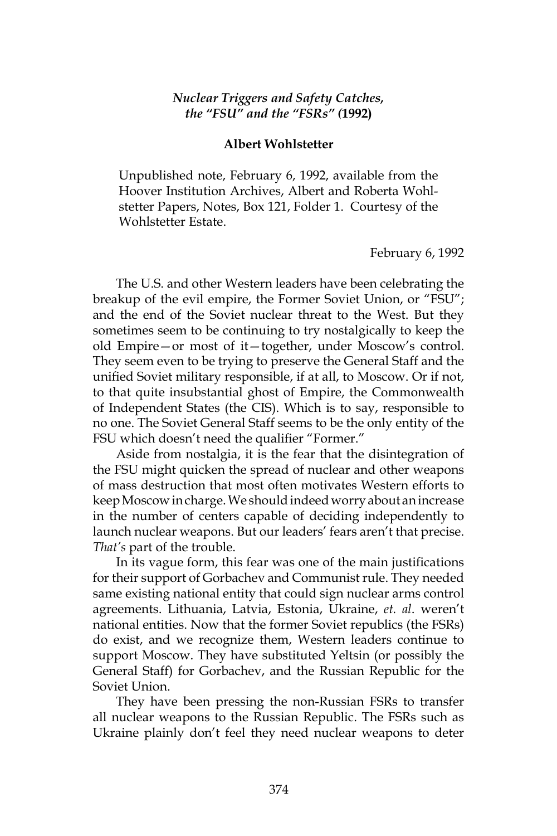## *Nuclear Triggers and Safety Catches, the "FSU" and the "FSRs" (***1992)**

## **Albert Wohlstetter**

Unpublished note, February 6, 1992, available from the Hoover Institution Archives, Albert and Roberta Wohlstetter Papers, Notes, Box 121, Folder 1. Courtesy of the Wohlstetter Estate.

February 6, 1992

The U.S. and other Western leaders have been celebrating the breakup of the evil empire, the Former Soviet Union, or "FSU"; and the end of the Soviet nuclear threat to the West. But they sometimes seem to be continuing to try nostalgically to keep the old Empire—or most of it—together, under Moscow's control. They seem even to be trying to preserve the General Staff and the unified Soviet military responsible, if at all, to Moscow. Or if not, to that quite insubstantial ghost of Empire, the Commonwealth of Independent States (the CIS). Which is to say, responsible to no one. The Soviet General Staff seems to be the only entity of the FSU which doesn't need the qualifier "Former."

Aside from nostalgia, it is the fear that the disintegration of the FSU might quicken the spread of nuclear and other weapons of mass destruction that most often motivates Western efforts to keep Moscow in charge. We should indeed worry about an increase in the number of centers capable of deciding independently to launch nuclear weapons. But our leaders' fears aren't that precise. *That's* part of the trouble.

In its vague form, this fear was one of the main justifications for their support of Gorbachev and Communist rule. They needed same existing national entity that could sign nuclear arms control agreements. Lithuania, Latvia, Estonia, Ukraine, *et. al*. weren't national entities. Now that the former Soviet republics (the FSRs) do exist, and we recognize them, Western leaders continue to support Moscow. They have substituted Yeltsin (or possibly the General Staff) for Gorbachev, and the Russian Republic for the Soviet Union.

They have been pressing the non-Russian FSRs to transfer all nuclear weapons to the Russian Republic. The FSRs such as Ukraine plainly don't feel they need nuclear weapons to deter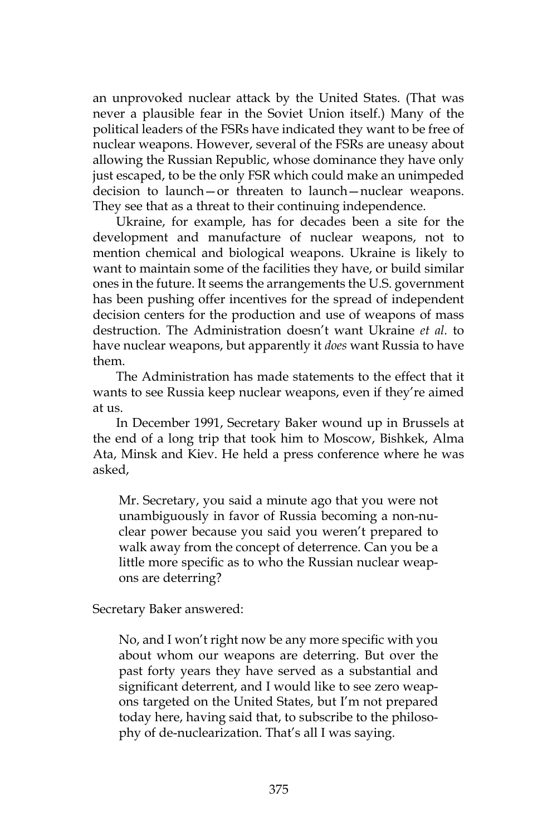an unprovoked nuclear attack by the United States. (That was never a plausible fear in the Soviet Union itself.) Many of the political leaders of the FSRs have indicated they want to be free of nuclear weapons. However, several of the FSRs are uneasy about allowing the Russian Republic, whose dominance they have only just escaped, to be the only FSR which could make an unimpeded decision to launch—or threaten to launch—nuclear weapons. They see that as a threat to their continuing independence.

Ukraine, for example, has for decades been a site for the development and manufacture of nuclear weapons, not to mention chemical and biological weapons. Ukraine is likely to want to maintain some of the facilities they have, or build similar ones in the future. It seems the arrangements the U.S. government has been pushing offer incentives for the spread of independent decision centers for the production and use of weapons of mass destruction. The Administration doesn't want Ukraine *et al.* to have nuclear weapons, but apparently it *does* want Russia to have them.

The Administration has made statements to the effect that it wants to see Russia keep nuclear weapons, even if they're aimed at us.

In December 1991, Secretary Baker wound up in Brussels at the end of a long trip that took him to Moscow, Bishkek, Alma Ata, Minsk and Kiev. He held a press conference where he was asked,

Mr. Secretary, you said a minute ago that you were not unambiguously in favor of Russia becoming a non-nuclear power because you said you weren't prepared to walk away from the concept of deterrence. Can you be a little more specific as to who the Russian nuclear weapons are deterring?

Secretary Baker answered:

No, and I won't right now be any more specific with you about whom our weapons are deterring. But over the past forty years they have served as a substantial and significant deterrent, and I would like to see zero weapons targeted on the United States, but I'm not prepared today here, having said that, to subscribe to the philosophy of de-nuclearization. That's all I was saying.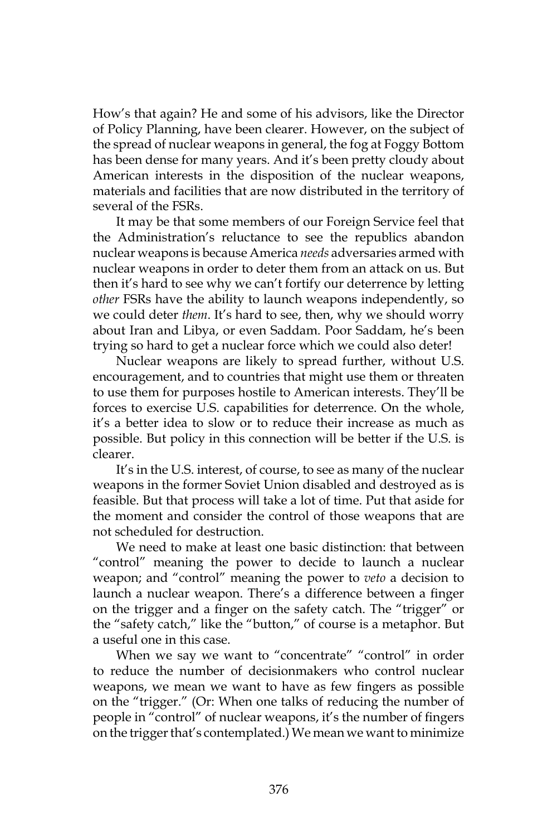How's that again? He and some of his advisors, like the Director of Policy Planning, have been clearer. However, on the subject of the spread of nuclear weapons in general, the fog at Foggy Bottom has been dense for many years. And it's been pretty cloudy about American interests in the disposition of the nuclear weapons, materials and facilities that are now distributed in the territory of several of the FSRs.

It may be that some members of our Foreign Service feel that the Administration's reluctance to see the republics abandon nuclear weapons is because America *needs* adversaries armed with nuclear weapons in order to deter them from an attack on us. But then it's hard to see why we can't fortify our deterrence by letting *other* FSRs have the ability to launch weapons independently, so we could deter *them*. It's hard to see, then, why we should worry about Iran and Libya, or even Saddam. Poor Saddam, he's been trying so hard to get a nuclear force which we could also deter!

Nuclear weapons are likely to spread further, without U.S. encouragement, and to countries that might use them or threaten to use them for purposes hostile to American interests. They'll be forces to exercise U.S. capabilities for deterrence. On the whole, it's a better idea to slow or to reduce their increase as much as possible. But policy in this connection will be better if the U.S. is clearer.

It's in the U.S. interest, of course, to see as many of the nuclear weapons in the former Soviet Union disabled and destroyed as is feasible. But that process will take a lot of time. Put that aside for the moment and consider the control of those weapons that are not scheduled for destruction.

We need to make at least one basic distinction: that between "control" meaning the power to decide to launch a nuclear weapon; and "control" meaning the power to *veto* a decision to launch a nuclear weapon. There's a difference between a finger on the trigger and a finger on the safety catch. The "trigger" or the "safety catch," like the "button," of course is a metaphor. But a useful one in this case.

When we say we want to "concentrate" "control" in order to reduce the number of decisionmakers who control nuclear weapons, we mean we want to have as few fingers as possible on the "trigger." (Or: When one talks of reducing the number of people in "control" of nuclear weapons, it's the number of fingers on the trigger that's contemplated.) We mean we want to minimize